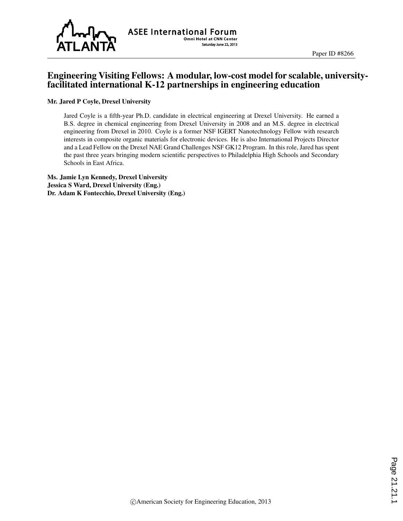

**ASEE International Forum Omni Hotel at CNN Center** Saturday June 22, 2013

### Engineering Visiting Fellows: A modular, low-cost model for scalable, universityfacilitated international K-12 partnerships in engineering education

#### Mr. Jared P Coyle, Drexel University

Jared Coyle is a fifth-year Ph.D. candidate in electrical engineering at Drexel University. He earned a B.S. degree in chemical engineering from Drexel University in 2008 and an M.S. degree in electrical engineering from Drexel in 2010. Coyle is a former NSF IGERT Nanotechnology Fellow with research interests in composite organic materials for electronic devices. He is also International Projects Director and a Lead Fellow on the Drexel NAE Grand Challenges NSF GK12 Program. In this role, Jared has spent the past three years bringing modern scientific perspectives to Philadelphia High Schools and Secondary Schools in East Africa.

Ms. Jamie Lyn Kennedy, Drexel University Jessica S Ward, Drexel University (Eng.) Dr. Adam K Fontecchio, Drexel University (Eng.)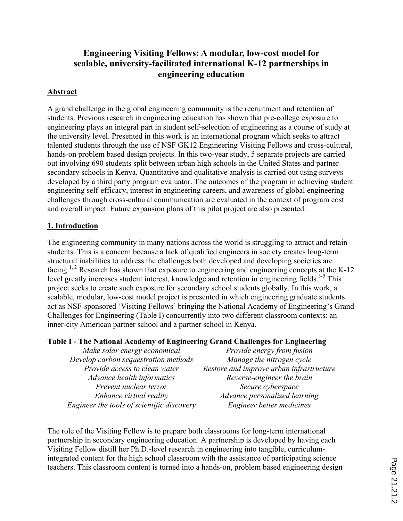# **Engineering Visiting Fellows: A modular, low-cost model for scalable, university-facilitated international K-12 partnerships in engineering education**

### **Abstract**

A grand challenge in the global engineering community is the recruitment and retention of students. Previous research in engineering education has shown that pre-college exposure to engineering plays an integral part in student self-selection of engineering as a course of study at the university level. Presented in this work is an international program which seeks to attract talented students through the use of NSF GK12 Engineering Visiting Fellows and cross-cultural, hands-on problem based design projects. In this two-year study, 5 separate projects are carried out involving 690 students split between urban high schools in the United States and partner secondary schools in Kenya. Quantitative and qualitative analysis is carried out using surveys developed by a third party program evaluator. The outcomes of the program in achieving student engineering self-efficacy, interest in engineering careers, and awareness of global engineering challenges through cross-cultural communication are evaluated in the context of program cost and overall impact. Future expansion plans of this pilot project are also presented.

### **1. Introduction**

The engineering community in many nations across the world is struggling to attract and retain students. This is a concern because a lack of qualified engineers in society creates long-term structural inabilities to address the challenges both developed and developing societies are facing.<sup>1, 2</sup> Research has shown that exposure to engineering and engineering concepts at the K-12 level greatly increases student interest, knowledge and retention in engineering fields.<sup>3-5</sup> This project seeks to create such exposure for secondary school students globally. In this work, a scalable, modular, low-cost model project is presented in which engineering graduate students act as NSF-sponsored 'Visiting Fellows' bringing the National Academy of Engineering's Grand Challenges for Engineering (Table I) concurrently into two different classroom contexts: an inner-city American partner school and a partner school in Kenya.

#### **Table I - The National Academy of Engineering Grand Challenges for Engineering**

| Make solar energy economical               | Provide energy from fusion               |  |
|--------------------------------------------|------------------------------------------|--|
| Develop carbon sequestration methods       | Manage the nitrogen cycle                |  |
| Provide access to clean water              | Restore and improve urban infrastructure |  |
| Advance health informatics                 | Reverse-engineer the brain               |  |
| Prevent nuclear terror                     | Secure cyberspace                        |  |
| Enhance virtual reality                    | Advance personalized learning            |  |
| Engineer the tools of scientific discovery | Engineer better medicines                |  |

The role of the Visiting Fellow is to prepare both classrooms for long-term international partnership in secondary engineering education. A partnership is developed by having each Visiting Fellow distill her Ph.D.-level research in engineering into tangible, curriculumintegrated content for the high school classroom with the assistance of participating science teachers. This classroom content is turned into a hands-on, problem based engineering design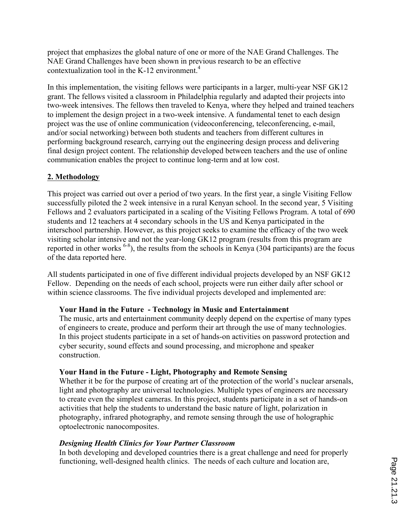project that emphasizes the global nature of one or more of the NAE Grand Challenges. The NAE Grand Challenges have been shown in previous research to be an effective contextualization tool in the K-12 environment. 4

In this implementation, the visiting fellows were participants in a larger, multi-year NSF GK12 grant. The fellows visited a classroom in Philadelphia regularly and adapted their projects into two-week intensives. The fellows then traveled to Kenya, where they helped and trained teachers to implement the design project in a two-week intensive. A fundamental tenet to each design project was the use of online communication (videoconferencing, teleconferencing, e-mail, and/or social networking) between both students and teachers from different cultures in performing background research, carrying out the engineering design process and delivering final design project content. The relationship developed between teachers and the use of online communication enables the project to continue long-term and at low cost.

## **2. Methodology**

This project was carried out over a period of two years. In the first year, a single Visiting Fellow successfully piloted the 2 week intensive in a rural Kenyan school. In the second year, 5 Visiting Fellows and 2 evaluators participated in a scaling of the Visiting Fellows Program. A total of 690 students and 12 teachers at 4 secondary schools in the US and Kenya participated in the interschool partnership. However, as this project seeks to examine the efficacy of the two week visiting scholar intensive and not the year-long GK12 program (results from this program are reported in other works  $6-8$ ), the results from the schools in Kenya (304 participants) are the focus of the data reported here.

All students participated in one of five different individual projects developed by an NSF GK12 Fellow. Depending on the needs of each school, projects were run either daily after school or within science classrooms. The five individual projects developed and implemented are:

#### **Your Hand in the Future - Technology in Music and Entertainment**

The music, arts and entertainment community deeply depend on the expertise of many types of engineers to create, produce and perform their art through the use of many technologies. In this project students participate in a set of hands-on activities on password protection and cyber security, sound effects and sound processing, and microphone and speaker construction.

#### **Your Hand in the Future - Light, Photography and Remote Sensing**

Whether it be for the purpose of creating art of the protection of the world's nuclear arsenals, light and photography are universal technologies. Multiple types of engineers are necessary to create even the simplest cameras. In this project, students participate in a set of hands-on activities that help the students to understand the basic nature of light, polarization in photography, infrared photography, and remote sensing through the use of holographic optoelectronic nanocomposites.

#### *Designing Health Clinics for Your Partner Classroom*

In both developing and developed countries there is a great challenge and need for properly functioning, well-designed health clinics. The needs of each culture and location are,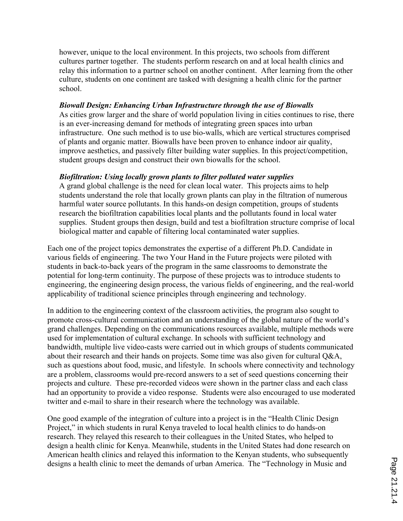however, unique to the local environment. In this projects, two schools from different cultures partner together. The students perform research on and at local health clinics and relay this information to a partner school on another continent. After learning from the other culture, students on one continent are tasked with designing a health clinic for the partner school.

#### *Biowall Design: Enhancing Urban Infrastructure through the use of Biowalls*

As cities grow larger and the share of world population living in cities continues to rise, there is an ever-increasing demand for methods of integrating green spaces into urban infrastructure. One such method is to use bio-walls, which are vertical structures comprised of plants and organic matter. Biowalls have been proven to enhance indoor air quality, improve aesthetics, and passively filter building water supplies. In this project/competition, student groups design and construct their own biowalls for the school.

### *Biofiltration: Using locally grown plants to filter polluted water supplies*

A grand global challenge is the need for clean local water. This projects aims to help students understand the role that locally grown plants can play in the filtration of numerous harmful water source pollutants. In this hands-on design competition, groups of students research the biofiltration capabilities local plants and the pollutants found in local water supplies. Student groups then design, build and test a biofiltration structure comprise of local biological matter and capable of filtering local contaminated water supplies.

Each one of the project topics demonstrates the expertise of a different Ph.D. Candidate in various fields of engineering. The two Your Hand in the Future projects were piloted with students in back-to-back years of the program in the same classrooms to demonstrate the potential for long-term continuity. The purpose of these projects was to introduce students to engineering, the engineering design process, the various fields of engineering, and the real-world applicability of traditional science principles through engineering and technology.

In addition to the engineering context of the classroom activities, the program also sought to promote cross-cultural communication and an understanding of the global nature of the world's grand challenges. Depending on the communications resources available, multiple methods were used for implementation of cultural exchange. In schools with sufficient technology and bandwidth, multiple live video-casts were carried out in which groups of students communicated about their research and their hands on projects. Some time was also given for cultural Q&A, such as questions about food, music, and lifestyle. In schools where connectivity and technology are a problem, classrooms would pre-record answers to a set of seed questions concerning their projects and culture. These pre-recorded videos were shown in the partner class and each class had an opportunity to provide a video response. Students were also encouraged to use moderated twitter and e-mail to share in their research where the technology was available.

One good example of the integration of culture into a project is in the "Health Clinic Design Project," in which students in rural Kenya traveled to local health clinics to do hands-on research. They relayed this research to their colleagues in the United States, who helped to design a health clinic for Kenya. Meanwhile, students in the United States had done research on American health clinics and relayed this information to the Kenyan students, who subsequently designs a health clinic to meet the demands of urban America. The "Technology in Music and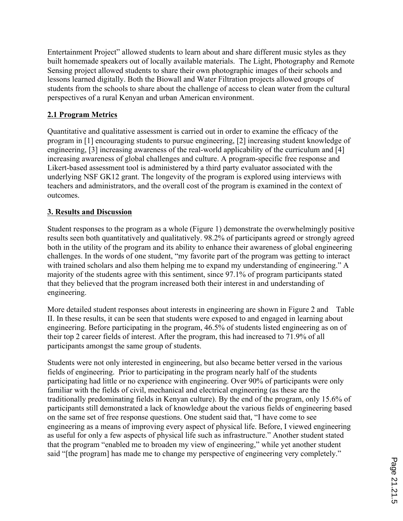Entertainment Project" allowed students to learn about and share different music styles as they built homemade speakers out of locally available materials. The Light, Photography and Remote Sensing project allowed students to share their own photographic images of their schools and lessons learned digitally. Both the Biowall and Water Filtration projects allowed groups of students from the schools to share about the challenge of access to clean water from the cultural perspectives of a rural Kenyan and urban American environment.

### **2.1 Program Metrics**

Quantitative and qualitative assessment is carried out in order to examine the efficacy of the program in [1] encouraging students to pursue engineering, [2] increasing student knowledge of engineering, [3] increasing awareness of the real-world applicability of the curriculum and [4] increasing awareness of global challenges and culture. A program-specific free response and Likert-based assessment tool is administered by a third party evaluator associated with the underlying NSF GK12 grant. The longevity of the program is explored using interviews with teachers and administrators, and the overall cost of the program is examined in the context of outcomes.

### **3. Results and Discussion**

Student responses to the program as a whole (Figure 1) demonstrate the overwhelmingly positive results seen both quantitatively and qualitatively. 98.2% of participants agreed or strongly agreed both in the utility of the program and its ability to enhance their awareness of global engineering challenges. In the words of one student, "my favorite part of the program was getting to interact with trained scholars and also them helping me to expand my understanding of engineering." A majority of the students agree with this sentiment, since 97.1% of program participants stated that they believed that the program increased both their interest in and understanding of engineering.

More detailed student responses about interests in engineering are shown in Figure 2 and Table II. In these results, it can be seen that students were exposed to and engaged in learning about engineering. Before participating in the program, 46.5% of students listed engineering as on of their top 2 career fields of interest. After the program, this had increased to 71.9% of all participants amongst the same group of students.

Students were not only interested in engineering, but also became better versed in the various fields of engineering. Prior to participating in the program nearly half of the students participating had little or no experience with engineering. Over 90% of participants were only familiar with the fields of civil, mechanical and electrical engineering (as these are the traditionally predominating fields in Kenyan culture). By the end of the program, only 15.6% of participants still demonstrated a lack of knowledge about the various fields of engineering based on the same set of free response questions. One student said that, "I have come to see engineering as a means of improving every aspect of physical life. Before, I viewed engineering as useful for only a few aspects of physical life such as infrastructure." Another student stated that the program "enabled me to broaden my view of engineering," while yet another student said "[the program] has made me to change my perspective of engineering very completely."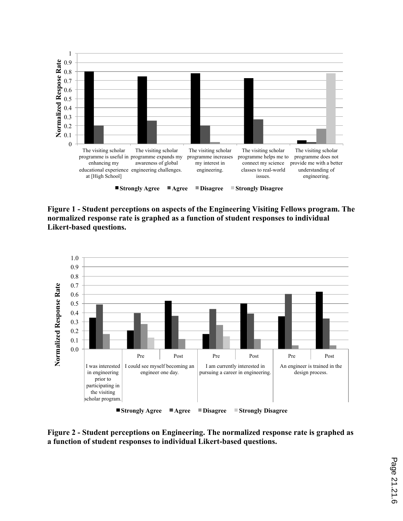

**Figure 1 - Student perceptions on aspects of the Engineering Visiting Fellows program. The normalized response rate is graphed as a function of student responses to individual Likert-based questions.**



**Figure 2 - Student perceptions on Engineering. The normalized response rate is graphed as a function of student responses to individual Likert-based questions.**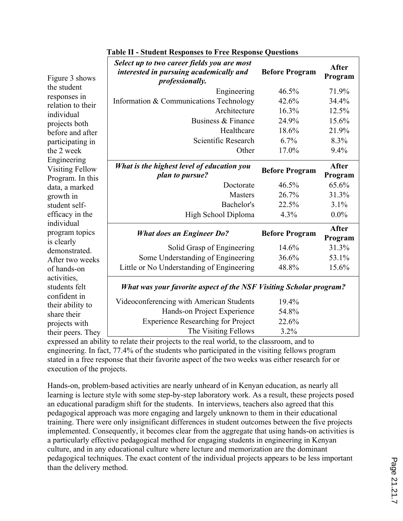| Figure 3 shows                             | Select up to two career fields you are most<br>interested in pursuing academically and<br><i>professionally.</i> | <b>Before Program</b> | <b>After</b><br>Program |  |
|--------------------------------------------|------------------------------------------------------------------------------------------------------------------|-----------------------|-------------------------|--|
| the student                                | Engineering                                                                                                      | 46.5%                 | 71.9%                   |  |
| responses in                               | Information & Communications Technology                                                                          | 42.6%                 | 34.4%                   |  |
| relation to their                          | Architecture                                                                                                     | 16.3%                 | 12.5%                   |  |
| individual                                 | Business & Finance                                                                                               | 24.9%                 | 15.6%                   |  |
| projects both<br>before and after          | Healthcare                                                                                                       | 18.6%                 | 21.9%                   |  |
| participating in                           | Scientific Research                                                                                              | 6.7%                  | 8.3%                    |  |
| the 2 week                                 | Other                                                                                                            | 17.0%                 | 9.4%                    |  |
| Engineering                                |                                                                                                                  |                       |                         |  |
| <b>Visiting Fellow</b><br>Program. In this | What is the highest level of education you<br>plan to pursue?                                                    | <b>Before Program</b> | <b>After</b><br>Program |  |
| data, a marked                             | Doctorate                                                                                                        | 46.5%                 | 65.6%                   |  |
| growth in                                  | <b>Masters</b>                                                                                                   | 26.7%                 | 31.3%                   |  |
| student self-                              | Bachelor's                                                                                                       | 22.5%                 | 3.1%                    |  |
| efficacy in the                            | High School Diploma                                                                                              | 4.3%                  | $0.0\%$                 |  |
| individual<br>program topics               | <b>What does an Engineer Do?</b>                                                                                 | <b>Before Program</b> | <b>After</b><br>Program |  |
| is clearly<br>demonstrated.                | Solid Grasp of Engineering                                                                                       | 14.6%                 | 31.3%                   |  |
| After two weeks                            | Some Understanding of Engineering                                                                                | 36.6%                 | 53.1%                   |  |
| of hands-on                                | Little or No Understanding of Engineering                                                                        | 48.8%                 | 15.6%                   |  |
| activities,<br>students felt               | <b>What was your favorite aspect of the NSF Visiting Scholar program?</b>                                        |                       |                         |  |
| confident in<br>their ability to           | Videoconferencing with American Students                                                                         | 19.4%                 |                         |  |
| share their                                | Hands-on Project Experience                                                                                      | 54.8%                 |                         |  |
| projects with                              | <b>Experience Researching for Project</b>                                                                        | 22.6%                 |                         |  |
| their peers. They                          | The Visiting Fellows                                                                                             | 3.2%                  |                         |  |

#### **Table II - Student Responses to Free Response Questions**

expressed an ability to relate their projects to the real world, to the classroom, and to engineering. In fact, 77.4% of the students who participated in the visiting fellows program stated in a free response that their favorite aspect of the two weeks was either research for or execution of the projects.

Hands-on, problem-based activities are nearly unheard of in Kenyan education, as nearly all learning is lecture style with some step-by-step laboratory work. As a result, these projects posed an educational paradigm shift for the students. In interviews, teachers also agreed that this pedagogical approach was more engaging and largely unknown to them in their educational training. There were only insignificant differences in student outcomes between the five projects implemented. Consequently, it becomes clear from the aggregate that using hands-on activities is a particularly effective pedagogical method for engaging students in engineering in Kenyan culture, and in any educational culture where lecture and memorization are the dominant pedagogical techniques. The exact content of the individual projects appears to be less important than the delivery method.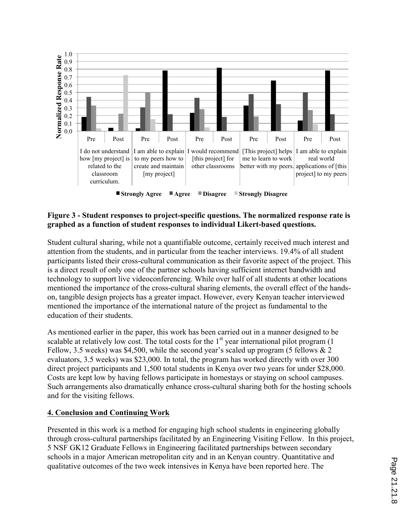

■ Strongly Agree **■ Agree ■ Disagree ■ Strongly Disagree** 

#### **Figure 3 - Student responses to project-specific questions. The normalized response rate is graphed as a function of student responses to individual Likert-based questions.**

Student cultural sharing, while not a quantifiable outcome, certainly received much interest and attention from the students, and in particular from the teacher interviews. 19.4% of all student participants listed their cross-cultural communication as their favorite aspect of the project. This is a direct result of only one of the partner schools having sufficient internet bandwidth and technology to support live videoconferencing. While over half of all students at other locations mentioned the importance of the cross-cultural sharing elements, the overall effect of the handson, tangible design projects has a greater impact. However, every Kenyan teacher interviewed mentioned the importance of the international nature of the project as fundamental to the education of their students.

As mentioned earlier in the paper, this work has been carried out in a manner designed to be scalable at relatively low cost. The total costs for the  $1<sup>st</sup>$  year international pilot program (1) Fellow, 3.5 weeks) was \$4,500, while the second year's scaled up program (5 fellows  $& 2$ evaluators, 3.5 weeks) was \$23,000. In total, the program has worked directly with over 300 direct project participants and 1,500 total students in Kenya over two years for under \$28,000. Costs are kept low by having fellows participate in homestays or staying on school campuses. Such arrangements also dramatically enhance cross-cultural sharing both for the hosting schools and for the visiting fellows.

### **4. Conclusion and Continuing Work**

Presented in this work is a method for engaging high school students in engineering globally through cross-cultural partnerships facilitated by an Engineering Visiting Fellow. In this project, 5 NSF GK12 Graduate Fellows in Engineering facilitated partnerships between secondary schools in a major American metropolitan city and in an Kenyan country. Quantitative and qualitative outcomes of the two week intensives in Kenya have been reported here. The